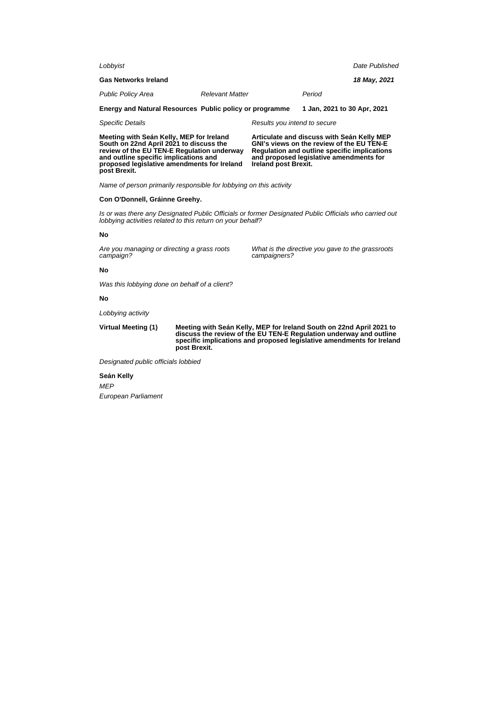| Lobbyist                                                |                              | Date Published              |  |
|---------------------------------------------------------|------------------------------|-----------------------------|--|
| <b>Gas Networks Ireland</b>                             |                              | 18 May, 2021                |  |
| <b>Public Policy Area</b>                               | <b>Relevant Matter</b>       | Period                      |  |
| Energy and Natural Resources Public policy or programme |                              | 1 Jan, 2021 to 30 Apr, 2021 |  |
| Specific Details                                        | Results you intend to secure |                             |  |

**Meeting with Seán Kelly, MEP for Ireland South on 22nd April 2021 to discuss the review of the EU TEN-E Regulation underway and outline specific implications and proposed legislative amendments for Ireland post Brexit.**

**Articulate and discuss with Seán Kelly MEP GNI's views on the review of the EU TEN-E Regulation and outline specific implications and proposed legislative amendments for Ireland post Brexit.**

Name of person primarily responsible for lobbying on this activity

## **Con O'Donnell, Gráinne Greehy.**

Is or was there any Designated Public Officials or former Designated Public Officials who carried out lobbying activities related to this return on your behalf?

## **No**

Are you managing or directing a grass roots campaign?

What is the directive you gave to the grassroots campaigners?

## **No**

Was this lobbying done on behalf of a client?

## **No**

Lobbying activity

**Virtual Meeting (1) Meeting with Seán Kelly, MEP for Ireland South on 22nd April 2021 to discuss the review of the EU TEN-E Regulation underway and outline specific implications and proposed legislative amendments for Ireland post Brexit.**

Designated public officials lobbied

**Seán Kelly** MEP European Parliament